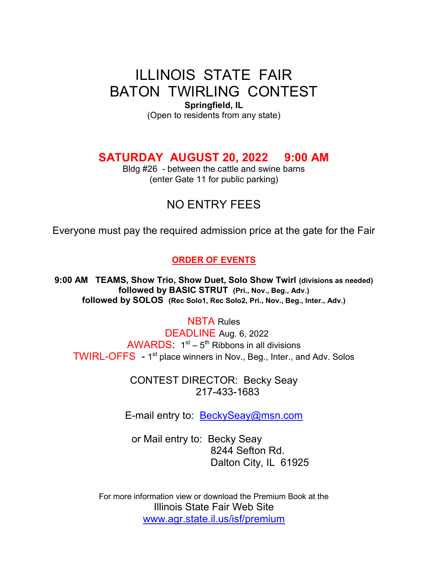# ILLINOIS STATE FAIR BATON TWIRLING CONTEST

Springfield, IL (Open to residents from any state)

### SATURDAY AUGUST 20, 2022 9:00 AM

Bldg #26 - between the cattle and swine barns (enter Gate 11 for public parking)

## NO ENTRY FEES

Everyone must pay the required admission price at the gate for the Fair

### ORDER OF EVENTS

9:00 AM TEAMS, Show Trio, Show Duet, Solo Show Twirl (divisions as needed) followed by BASIC STRUT (Pri., Nov., Beg., Adv.) followed by SOLOS (Rec Solo1, Rec Solo2, Pri., Nov., Beg., Inter., Adv.)

NBTA Rules

 DEADLINE Aug. 6, 2022  $AWARDS: 1<sup>st</sup> – 5<sup>th</sup> Ribbons in all divisions$ TWIRL-OFFS - 1<sup>st</sup> place winners in Nov., Beg., Inter., and Adv. Solos

> CONTEST DIRECTOR: Becky Seay 217-433-1683

E-mail entry to: BeckySeay@msn.com

or Mail entry to: Becky Seay 8244 Sefton Rd. Dalton City, IL 61925

For more information view or download the Premium Book at the Illinois State Fair Web Site www.agr.state.il.us/isf/premium